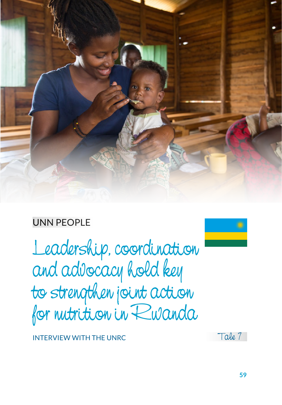

# UNN PEOPLE

Leadership, coordination and advocacy hold key to strengthen joint action for nutrition in Rwanda



INTERVIEW WITH THE UNRC

Tale 7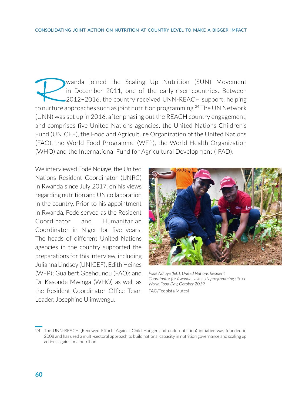Wanda joined the Scaling Up Nutrition (SUN) Movement<br>in December 2011, one of the early-riser countries. Between<br>2012-2016, the country received UNN-REACH support, helping<br>to nurture approaches such as joint nutrition prog in December 2011, one of the early-riser countries. Between 2012−2016, the country received UNN-REACH support, helping to nurture approaches such as joint nutrition programming.<sup>24</sup> The UN Network (UNN) was set up in 2016, after phasing out the REACH country engagement, and comprises five United Nations agencies: the United Nations Children's Fund (UNICEF), the Food and Agriculture Organization of the United Nations (FAO), the World Food Programme (WFP), the World Health Organization (WHO) and the International Fund for Agricultural Development (IFAD).

We interviewed Fodé Ndiaye, the United Nations Resident Coordinator (UNRC) in Rwanda since July 2017, on his views regarding nutrition and UN collaboration in the country. Prior to his appointment in Rwanda, Fodé served as the Resident Coordinator and Humanitarian Coordinator in Niger for five years. The heads of different United Nations agencies in the country supported the preparations for this interview, including Julianna Lindsey (UNICEF); Edith Heines (WFP); Gualbert Gbehounou (FAO); and Dr Kasonde Mwinga (WHO) as well as the Resident Coordinator Office Team Leader, Josephine Ulimwengu.



*Fodé Ndiaye (left), United Nations Resident Coordinator for Rwanda, visits UN programming site on World Food Day, October 2019* FAO/Teopista Mutesi

<sup>24</sup> The UNN-REACH (Renewed Efforts Against Child Hunger and undernutrition) initiative was founded in 2008 and has used a multi-sectoral approach to build national capacity in nutrition governance and scaling up actions against malnutrition.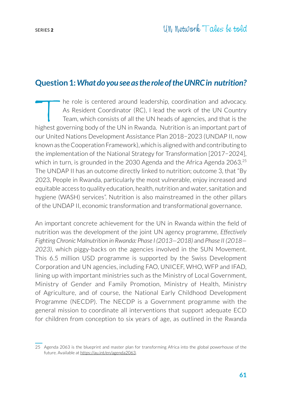## **Question 1:** *What do you see as the role of the UNRC in nutrition?*

The role is centered around leadership, coordination and advocacy.<br>As Resident Coordinator (RC), I lead the work of the UN Country<br>Team, which consists of all the UN heads of agencies, and that is the<br>nighest governing bod As Resident Coordinator (RC), I lead the work of the UN Country Team, which consists of all the UN heads of agencies, and that is the highest governing body of the UN in Rwanda. Nutrition is an important part of our United Nations Development Assistance Plan 2018−2023 (UNDAP II, now known as the Cooperation Framework), which is aligned with and contributing to the implementation of the National Strategy for Transformation [2017−2024], which in turn, is grounded in the 2030 Agenda and the Africa Agenda  $2063$ <sup>25</sup> The UNDAP II has an outcome directly linked to nutrition; outcome 3, that "By 2023, People in Rwanda, particularly the most vulnerable, enjoy increased and equitable access to quality education, health, nutrition and water, sanitation and hygiene (WASH) services". Nutrition is also mainstreamed in the other pillars of the UNDAP II, economic transformation and transformational governance.

An important concrete achievement for the UN in Rwanda within the field of nutrition was the development of the joint UN agency programme, *Effectively Fighting Chronic Malnutrition in Rwanda: Phase I (2013—2018)* and *Phase II (2018— 2023)*, which piggy-backs on the agencies involved in the SUN Movement. This 6.5 million USD programme is supported by the Swiss Development Corporation and UN agencies, including FAO, UNICEF, WHO, WFP and IFAD, lining up with important ministries such as the Ministry of Local Government, Ministry of Gender and Family Promotion, Ministry of Health, Ministry of Agriculture, and of course, the National Early Childhood Development Programme (NECDP). The NECDP is a Government programme with the general mission to coordinate all interventions that support adequate ECD for children from conception to six years of age, as outlined in the Rwanda

<sup>25</sup> Agenda 2063 is the blueprint and master plan for transforming Africa into the global powerhouse of the future. Available at https://au.int/en/agenda2063.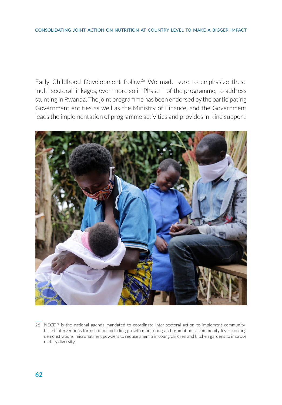Early Childhood Development Policy.<sup>26</sup> We made sure to emphasize these multi-sectoral linkages, even more so in Phase II of the programme, to address stunting in Rwanda. The joint programme has been endorsed by the participating Government entities as well as the Ministry of Finance, and the Government leads the implementation of programme activities and provides in-kind support.



26 NECDP is the national agenda mandated to coordinate inter-sectoral action to implement communitybased interventions for nutrition, including growth monitoring and promotion at community level, cooking demonstrations, micronutrient powders to reduce anemia in young children and kitchen gardens to improve dietary diversity.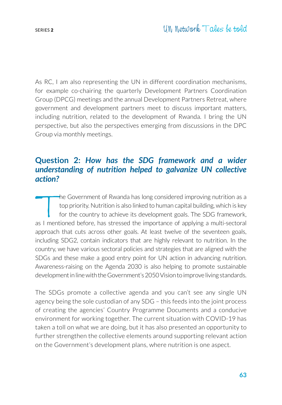As RC, I am also representing the UN in different coordination mechanisms, for example co-chairing the quarterly Development Partners Coordination Group (DPCG) meetings and the annual Development Partners Retreat, where government and development partners meet to discuss important matters, including nutrition, related to the development of Rwanda. I bring the UN perspective, but also the perspectives emerging from discussions in the DPC Group via monthly meetings.

## **Question 2:** *How has the SDG framework and a wider understanding of nutrition helped to galvanize UN collective action?*

The Government of Rwanda has long considered improving nutrition as a<br>top priority. Nutrition is also linked to human capital building, which is key<br>for the country to achieve its development goals. The SDG framework,<br>as I top priority. Nutrition is also linked to human capital building, which is key for the country to achieve its development goals. The SDG framework, as I mentioned before, has stressed the importance of applying a multi-sectoral approach that cuts across other goals. At least twelve of the seventeen goals, including SDG2, contain indicators that are highly relevant to nutrition. In the country, we have various sectoral policies and strategies that are aligned with the SDGs and these make a good entry point for UN action in advancing nutrition. Awareness-raising on the Agenda 2030 is also helping to promote sustainable development in line with the Government's 2050 Vision to improve living standards.

The SDGs promote a collective agenda and you can't see any single UN agency being the sole custodian of any SDG – this feeds into the joint process of creating the agencies' Country Programme Documents and a conducive environment for working together. The current situation with COVID-19 has taken a toll on what we are doing, but it has also presented an opportunity to further strengthen the collective elements around supporting relevant action on the Government's development plans, where nutrition is one aspect.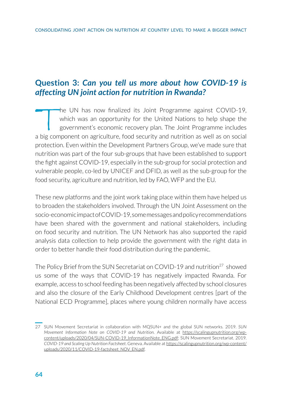## **Question 3:** *Can you tell us more about how COVID-19 is affecting UN joint action for nutrition in Rwanda?*

The UN has now finalized its Joint Programme against COVID-19,<br>which was an opportunity for the United Nations to help shape the<br>government's economic recovery plan. The Joint Programme includes<br>a big component on agricult which was an opportunity for the United Nations to help shape the government's economic recovery plan. The Joint Programme includes a big component on agriculture, food security and nutrition as well as on social protection. Even within the Development Partners Group, we've made sure that nutrition was part of the four sub-groups that have been established to support the fight against COVID-19, especially in the sub-group for social protection and vulnerable people, co-led by UNICEF and DFID, as well as the sub-group for the food security, agriculture and nutrition, led by FAO, WFP and the EU.

These new platforms and the joint work taking place within them have helped us to broaden the stakeholders involved. Through the UN Joint Assessment on the socio-economic impact of COVID-19, some messages and policy recommendations have been shared with the government and national stakeholders, including on food security and nutrition. The UN Network has also supported the rapid analysis data collection to help provide the government with the right data in order to better handle their food distribution during the pandemic.

The Policy Brief from the SUN Secretariat on COVID-19 and nutrition<sup>27</sup> showed us some of the ways that COVID-19 has negatively impacted Rwanda. For example, access to school feeding has been negatively affected by school closures and also the closure of the Early Childhood Development centres [part of the National ECD Programme], places where young children normally have access

<sup>27</sup> SUN Movement Secretariat in collaboration with MQSUN+ and the global SUN networks. 2019. *SUN Movement Information Note on COVID-19 and Nutrition.* Available at https://scalingupnutrition.org/wpcontent/uploads/2020/04/SUN-COVID-19\_InformationNote\_ENG.pdf; SUN Movement Secretariat. 2019. *COVID-19 and Scaling Up Nutrition Factsheet*. Geneva. Available at [https://scalingupnutrition.org/wp-content/](https://scalingupnutrition.org/wp-content/uploads/2020/11/COVID-19-factsheet_NOV_EN.pdf) [uploads/2020/11/COVID-19-factsheet\\_NOV\\_EN.pdf.](https://scalingupnutrition.org/wp-content/uploads/2020/11/COVID-19-factsheet_NOV_EN.pdf)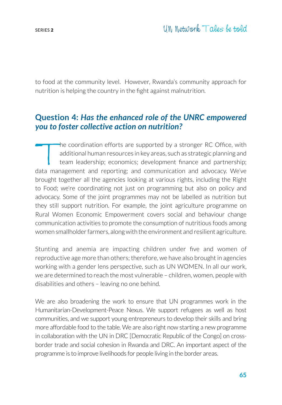to food at the community level. However, Rwanda's community approach for nutrition is helping the country in the fight against malnutrition.

#### **Question 4:** *Has the enhanced role of the UNRC empowered you to foster collective action on nutrition?*

The coordination efforts are supported by a stronger RC Office, with<br>additional human resources in key areas, such as strategic planning and<br>team leadership; economics; development finance and partnership;<br>data management additional human resources in key areas, such as strategic planning and team leadership; economics; development finance and partnership; data management and reporting; and communication and advocacy. We've brought together all the agencies looking at various rights, including the Right to Food; we're coordinating not just on programming but also on policy and advocacy. Some of the joint programmes may not be labelled as nutrition but they still support nutrition. For example, the joint agriculture programme on Rural Women Economic Empowerment covers social and behaviour change communication activities to promote the consumption of nutritious foods among women smallholder farmers, along with the environment and resilient agriculture.

Stunting and anemia are impacting children under five and women of reproductive age more than others; therefore, we have also brought in agencies working with a gender lens perspective, such as UN WOMEN. In all our work, we are determined to reach the most vulnerable – children, women, people with disabilities and others – leaving no one behind.

We are also broadening the work to ensure that UN programmes work in the Humanitarian-Development-Peace Nexus. We support refugees as well as host communities, and we support young entrepreneurs to develop their skills and bring more affordable food to the table. We are also right now starting a new programme in collaboration with the UN in DRC [Democratic Republic of the Congo] on crossborder trade and social cohesion in Rwanda and DRC. An important aspect of the programme is to improve livelihoods for people living in the border areas.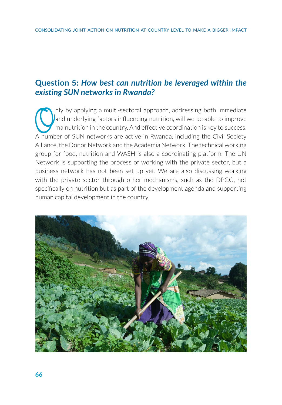# **Question 5:** *How best can nutrition be leveraged within the existing SUN networks in Rwanda?*

nly by applying a multi-sectoral approach, addressing both immediate<br>and underlying factors influencing nutrition, will we be able to improve<br>malnutrition in the country. And effective coordination is key to success.<br>A num and underlying factors influencing nutrition, will we be able to improve malnutrition in the country. And effective coordination is key to success. A number of SUN networks are active in Rwanda, including the Civil Society Alliance, the Donor Network and the Academia Network. The technical working group for food, nutrition and WASH is also a coordinating platform. The UN Network is supporting the process of working with the private sector, but a business network has not been set up yet. We are also discussing working with the private sector through other mechanisms, such as the DPCG, not specifically on nutrition but as part of the development agenda and supporting human capital development in the country.

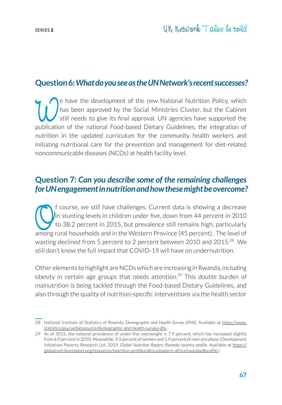# **Question 6:** *What do you see as the UN Network's recent successes?*

The have the development of the new National Nutrition Policy, which<br>
still needs to give its final approval. UN agencies have supported the<br>
publication of the national Food-based Dietary Guidelines, the integration of has been approved by the Social Ministries Cluster, but the Cabinet still needs to give its final approval. UN agencies have supported the publication of the national Food-based Dietary Guidelines, the integration of nutrition in the updated curriculum for the community health workers and initiating nutritional care for the prevention and management for diet-related noncommunicable diseases (NCDs) at health facility level.

#### **Question 7:** *Can you describe some of the remaining challenges for UN engagement in nutrition and how these might be overcome?*

of course, we still have challenges. Current data is showing a decrease<br>in stunting levels in children under five, down from 44 percent in 2010<br>to 38.2 percent in 2015, but prevalence still remains high, particularly<br>among in stunting levels in children under five, down from 44 percent in 2010  $\sigma$  to 38.2 percent in 2015, but prevalence still remains high, particularly among rural households and in the Western Province (45 percent). The level of wasting declined from 5 percent to 2 percent between 2010 and 2015.<sup>28</sup> We still don't know the full impact that COVID-19 will have on undernutrition.

Other elements to highlight are NCDs which are increasing in Rwanda, including obesity in certain age groups that needs attention.<sup>29</sup> This double burden of malnutrition is being tackled through the Food-based Dietary Guidelines, and also through the quality of nutrition-specific interventions via the health sector

<sup>28</sup> National Institute of Statistics of Rwanda. *Demographic and Health Survey (DHS)*. Available at [https://www.](https://www.statistics.gov.rw/datasource/demographic-and-health-survey-dhs) [statistics.gov.rw/datasource/demographic-and-health-survey-dhs](https://www.statistics.gov.rw/datasource/demographic-and-health-survey-dhs).

<sup>29</sup> As of 2015, the national prevalence of under-five overweight is 7.9 percent, which has increased slightly from 6.9 percent in 2010. Meanwhile, 9.3 percent of women and 1.9 percent of men are obese (Development Initiatives Poverty Research Ltd. 2019. *Global Nutrition Report; Rwanda country profile.* Available at https:// globalnutritionreport.org/resources/nutrition-profiles/africa/eastern-africa/rwanda/#profile.).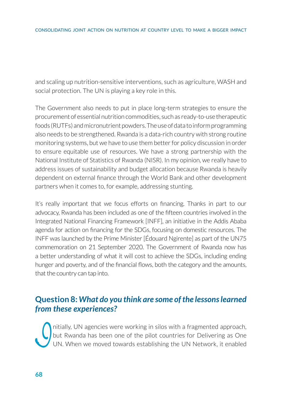and scaling up nutrition-sensitive interventions, such as agriculture, WASH and social protection. The UN is playing a key role in this.

The Government also needs to put in place long-term strategies to ensure the procurement of essential nutrition commodities, such as ready-to-use therapeutic foods (RUTFs) and micronutrient powders. The use of data to inform programming also needs to be strengthened. Rwanda is a data-rich country with strong routine monitoring systems, but we have to use them better for policy discussion in order to ensure equitable use of resources. We have a strong partnership with the National Institute of Statistics of Rwanda (NISR). In my opinion, we really have to address issues of sustainability and budget allocation because Rwanda is heavily dependent on external finance through the World Bank and other development partners when it comes to, for example, addressing stunting.

It's really important that we focus efforts on financing. Thanks in part to our advocacy, Rwanda has been included as one of the fifteen countries involved in the Integrated National Financing Framework [INFF], an initiative in the Addis Ababa agenda for action on financing for the SDGs, focusing on domestic resources. The INFF was launched by the Prime Minister [Édouard Ngirente] as part of the UN75 commemoration on 21 September 2020. The Government of Rwanda now has a better understanding of what it will cost to achieve the SDGs, including ending hunger and poverty, and of the financial flows, both the category and the amounts, that the country can tap into.

#### **Question 8:** *What do you think are some of the lessons learned from these experiences?*

Initially, UN agencies were working in silos with a fragmented approach,<br>but Rwanda has been one of the pilot countries for Delivering as One<br>UN. When we moved towards establishing the UN Network, it enabled but Rwanda has been one of the pilot countries for Delivering as One UN. When we moved towards establishing the UN Network, it enabled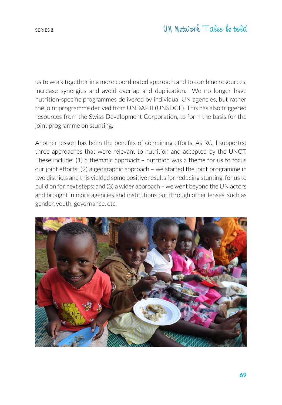us to work together in a more coordinated approach and to combine resources, increase synergies and avoid overlap and duplication. We no longer have nutrition-specific programmes delivered by individual UN agencies, but rather the joint programme derived from UNDAP II (UNSDCF). This has also triggered resources from the Swiss Development Corporation, to form the basis for the joint programme on stunting.

Another lesson has been the benefits of combining efforts. As RC, I supported three approaches that were relevant to nutrition and accepted by the UNCT. These include: (1) a thematic approach – nutrition was a theme for us to focus our joint efforts; (2) a geographic approach – we started the joint programme in two districts and this yielded some positive results for reducing stunting, for us to build on for next steps; and (3) a wider approach – we went beyond the UN actors and brought in more agencies and institutions but through other lenses, such as gender, youth, governance, etc.